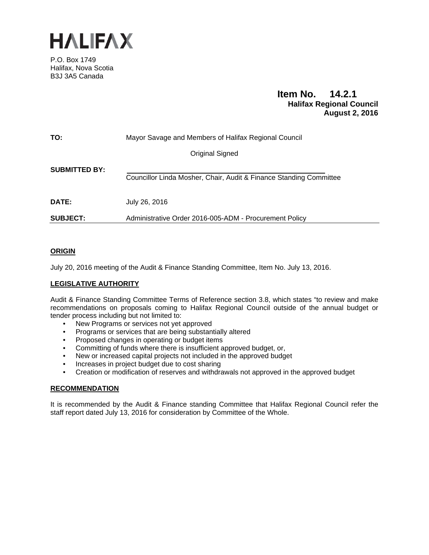

P.O. Box 1749 Halifax, Nova Scotia B3J 3A5 Canada

#### **Item No. 14.2.1 Halifax Regional Council August 2, 2016**

| TO:                  | Mayor Savage and Members of Halifax Regional Council               |
|----------------------|--------------------------------------------------------------------|
|                      | Original Signed                                                    |
| <b>SUBMITTED BY:</b> | Councillor Linda Mosher, Chair, Audit & Finance Standing Committee |
| <b>DATE:</b>         | July 26, 2016                                                      |
| <b>SUBJECT:</b>      | Administrative Order 2016-005-ADM - Procurement Policy             |

#### **ORIGIN**

July 20, 2016 meeting of the Audit & Finance Standing Committee, Item No. July 13, 2016.

#### **LEGISLATIVE AUTHORITY**

Audit & Finance Standing Committee Terms of Reference section 3.8, which states "to review and make recommendations on proposals coming to Halifax Regional Council outside of the annual budget or tender process including but not limited to:

- New Programs or services not yet approved
- Programs or services that are being substantially altered
- Proposed changes in operating or budget items
- Committing of funds where there is insufficient approved budget, or,
- New or increased capital projects not included in the approved budget
- Increases in project budget due to cost sharing
- Creation or modification of reserves and withdrawals not approved in the approved budget

#### **RECOMMENDATION**

It is recommended by the Audit & Finance standing Committee that Halifax Regional Council refer the staff report dated July 13, 2016 for consideration by Committee of the Whole.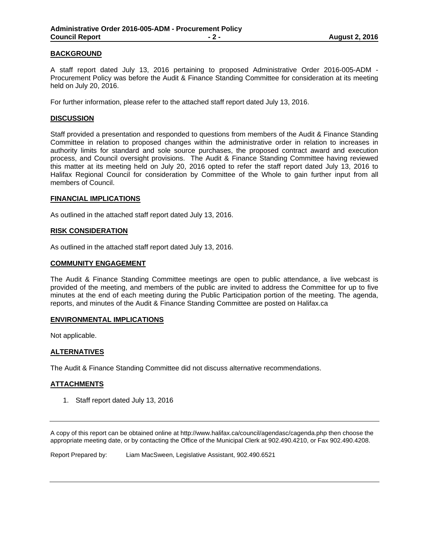#### **BACKGROUND**

A staff report dated July 13, 2016 pertaining to proposed Administrative Order 2016-005-ADM - Procurement Policy was before the Audit & Finance Standing Committee for consideration at its meeting held on July 20, 2016.

For further information, please refer to the attached staff report dated July 13, 2016.

#### **DISCUSSION**

Staff provided a presentation and responded to questions from members of the Audit & Finance Standing Committee in relation to proposed changes within the administrative order in relation to increases in authority limits for standard and sole source purchases, the proposed contract award and execution process, and Council oversight provisions. The Audit & Finance Standing Committee having reviewed this matter at its meeting held on July 20, 2016 opted to refer the staff report dated July 13, 2016 to Halifax Regional Council for consideration by Committee of the Whole to gain further input from all members of Council.

#### **FINANCIAL IMPLICATIONS**

As outlined in the attached staff report dated July 13, 2016.

#### **RISK CONSIDERATION**

As outlined in the attached staff report dated July 13, 2016.

#### **COMMUNITY ENGAGEMENT**

The Audit & Finance Standing Committee meetings are open to public attendance, a live webcast is provided of the meeting, and members of the public are invited to address the Committee for up to five minutes at the end of each meeting during the Public Participation portion of the meeting. The agenda, reports, and minutes of the Audit & Finance Standing Committee are posted on Halifax.ca

#### **ENVIRONMENTAL IMPLICATIONS**

Not applicable.

#### **ALTERNATIVES**

The Audit & Finance Standing Committee did not discuss alternative recommendations.

#### **ATTACHMENTS**

1. Staff report dated July 13, 2016

A copy of this report can be obtained online at http://www.halifax.ca/council/agendasc/cagenda.php then choose the appropriate meeting date, or by contacting the Office of the Municipal Clerk at 902.490.4210, or Fax 902.490.4208.

Report Prepared by: Liam MacSween, Legislative Assistant, 902.490.6521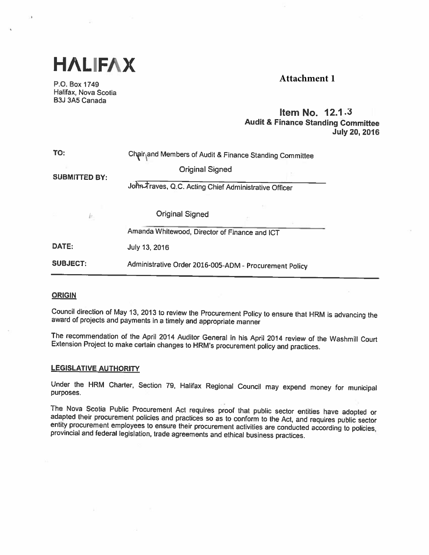

P.O. Box 1749 Halifax, Nova Scotia B3J 3A5 Canada

#### **Attachment 1**

#### Item No. 12.1 .3 Audit & Finance Standing Committee July 20, 2016

| TO:                  | Chair and Members of Audit & Finance Standing Committee |  |
|----------------------|---------------------------------------------------------|--|
| <b>SUBMITTED BY:</b> | <b>Original Signed</b>                                  |  |
|                      | John-Traves, Q.C. Acting Chief Administrative Officer   |  |
| k.                   | <b>Original Signed</b>                                  |  |
|                      | Amanda Whitewood, Director of Finance and ICT           |  |
| DATE:                | July 13, 2016                                           |  |
| <b>SUBJECT:</b>      | Administrative Order 2016-005-ADM - Procurement Policy  |  |

#### **ORIGIN**

Council direction of May 13, <sup>2013</sup> to review the Procurement Policy to ensure that HRM is advancing the award of projects and payments in <sup>a</sup> timely and appropriate manner

The recommendation of the April <sup>2014</sup> Auditor General in his April <sup>2014</sup> review of the Washmill Court Extension Project to make certain changes to HRM's procurement policy and practices.

#### LEGISLATIVE AUTHORITY

Under the HRM Charter, Section 79, Halifax Regional Council may expend money for municipal purposes.

The Nova Scotia Public Procurement Act requires proof that public sector entities have adopted or adapted their procurement policies and practices so as to conform to the Act, and requires public sector entity procurement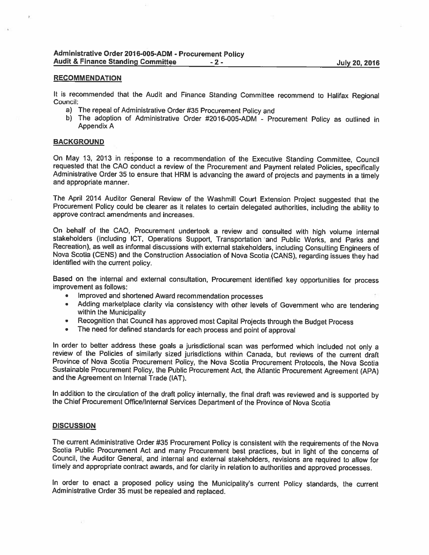#### RECOMMENDATION

It is recommended that the Audit and Finance Standing Committee recommend to Halifax Regional Council:

- a) The repeal of Administrative Order #35 Procurement Policy and
- b) The adoption of Administrative Order #2016-005-ADM Procurement Policy as outlined in Appendix A

#### **BACKGROUND**

On May 13, 2013 in response to a recommendation of the Executive Standing Committee, Council requested that the CAO conduct a review of the Procurement and Payment related Policies, specifically Administrative Order 35 to

The April <sup>2014</sup> Auditor General Review of the Washmill Court Extension Project suggested that the Procurement Policy could be clearer as it relates to certain delegated authorities, including the ability to approve contract amendments and increases.

On behalf of the CAO, Procurement undertook a review and consulted with high volume internal stakeholders (including ICT, Operations Support, Transportation and Public Works, and Parks and Recreation), as well as informal Nova Scotia (CENS) and the Construction Association of Nova Scotia (CANS), regarding issues they had identified with the current policy.

Based on the internai and external consultation, Procurement identified key opportunities for process improvement as follows:

- •Improved and shortened Award recommendation processes
- •Adding marketplace clarity via consistency with other levels of Government who are tendering within the Municipality
- •Recognition that Council has approved most Capital Projects through the Budget Process
- •The need for defined standards for each process and point of approval

In order to better address these goals <sup>a</sup> jurisdictional scan was performed which included not only <sup>a</sup> review of the Policies of similarly sized jurisdictions within Canada, but reviews of the current draft Province of Nova Scotia Procurement Policy, the Nova Scotia Procurement Protocols, the Nova Scotia Sustainable Procurement Policy, the Public Procurement Act, the Atlantic Procurement Agreement (APA) and the Agreement on Internal Trade (IAT).

In addition to the circulation of the draft policy internally, the final draft was reviewed and is supported by the Chief Procurement Office/Internal Services Department of the Province of Nova Scotia

#### **DISCUSSION**

The current Administrative Order #35 Procurement Policy is consistent with the requirements of the Nova Scotia Public Procurement Act and many Procurement best practices, but in light of the concerns of Council, the Audito

In order to enact <sup>a</sup> proposed policy using the Municipality's current Policy standards, the current Administrative Order <sup>35</sup> must be repealed and replaced.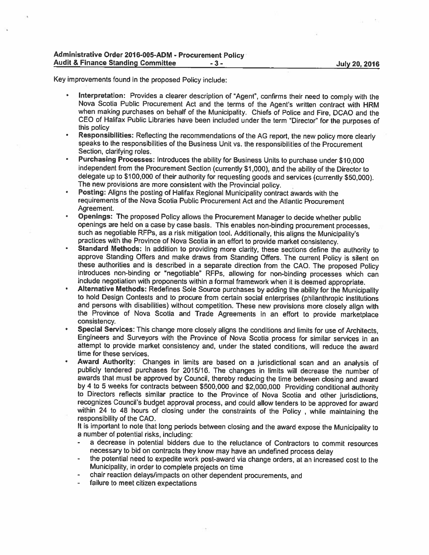Key improvements found in the proposed Policy include:

- Interpretation: Provides <sup>a</sup> clearer description of "Agent', confirms their need to comply with the Nova Scotia Public Procurement Act and the terms of the Agent's written contract with HRM when making purchases on behalf of the Municipality. Chiefs of Police and Fire, DCAO and the CEO of Halifax Public Libraries have been included under the term "Director" for the purposes of this policy
- Responsibilities: Reflecting the recommendations of the AG report, the new policy more clearly speaks to the responsibilities of the Business Unit vs. the responsibilities of the Procurement Section, clarifying roles.
- Purchasing Processes: Introduces the ability for Business Units to purchase under \$10,000 independent from the Procurement Section (currently \$1,000), and the ability of the Director to delegate up to \$100,000 of their authority for requesting goods and services (currently \$50,000). The new provisions are more consistent with the Provincial policy.
- • Posting: Aligns the posting of Halifax Regional Municipality contract awards with the requirements of the Nova Scotia Public Procurement Act and the Atlantic Procurement Agreement.
- •Openings: The proposed Policy allows the Procurement Manager to decide whether public openings are held on a case by case basis. This enables non-binding procurement processes. such as negotiable RFPs, as a risk mitigation tool. Additionally, this aligns the Municipality's practices with the Province of Nova Scotia in an effort to provide market consistency.
- •Standard Methods: In addition to providing more clarity, these sections define the authority to approve Standing Offers and make draws from Standing Offers. The current Policy is silent on these authorities and is described in a separate direction from the CAO. The proposed Policy introduces non-binding or "negotiable" RFPs, allowing for non-binding processes which can include negotiation with proponents wit
- • Alternative Methods: Redefines Sole Source purchases by adding the ability for the Municipality to hold Design Contests and to procure from certain social enterprises (philanthropic institutions and persons with disabilities) without competition. These new provisions more closely align with the Province of Nova Scoti
- • Special Services: This change more closely aligns the conditions and limits for use of Architects, Engineers and Surveyors with the Province of Nova Scotia process for similar services in an attempt to provide market consistency and, under the stated conditions, will reduce the award time for these services.
- •Award Authority: Changes in limits are based on a jurisdictional scan and an analysis of publicly tendered purchases for 2015/16. The changes in limits will decrease the number of awards that must be approved by Council, t by 4 to 5 weeks for contracts between \$500,000 and \$2,000,000 Providing conditional authority to Directors reflects similar practice to the Province of Nova Scotia and other jurisdictions, recognizes Council's budget approval process, and could allow tenders to be approved for award within <sup>24</sup> to <sup>48</sup> hours of closing under the constraints of the Policy , while maintaining the responsibility of the CAO.

It is important to note that long periods between closing and the award expose the Municipality to <sup>a</sup> number of potential risks, including:

- <sup>a</sup> decrease in potential bidders due to the reluctance of Contractors to commit resources necessary to bid on contracts they know may have an undefined process delay
- the potential need to expedite work post-award via change orders, at an increased cost to the Municipality, in order to complete projects on time
- chair reaction delays/impacts on other dependent procurements, and
- failure to meet citizen expectations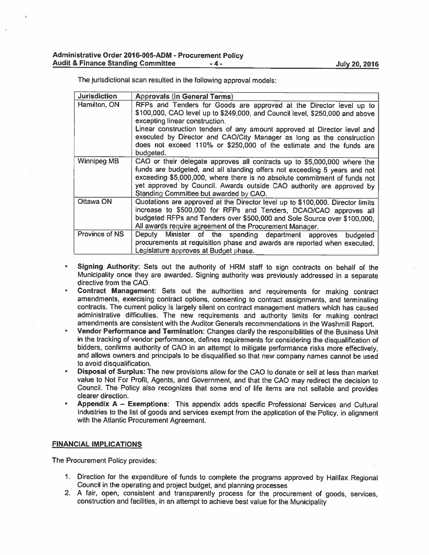The jurisdictional scan resulted in the following approva<sup>l</sup> models:

| <b>Jurisdiction</b> | <b>Approvals (in General Terms)</b>                                                                                                                                                                                                                                                                                                                                                                                            |  |
|---------------------|--------------------------------------------------------------------------------------------------------------------------------------------------------------------------------------------------------------------------------------------------------------------------------------------------------------------------------------------------------------------------------------------------------------------------------|--|
| Hamilton, ON        | RFPs and Tenders for Goods are approved at the Director level up to<br>\$100,000, CAO level up to \$249,000, and Council level, \$250,000 and above<br>excepting linear construction.<br>Linear construction tenders of any amount approved at Director level and<br>executed by Director and CAO/City Manager as long as the construction<br>does not exceed 110% or \$250,000 of the estimate and the funds are<br>budgeted. |  |
| <b>Winnipeg MB</b>  | CAO or their delegate approves all contracts up to \$5,000,000 where the<br>funds are budgeted, and all standing offers not exceeding 5 years and not<br>exceeding \$5,000,000, where there is no absolute commitment of funds not<br>yet approved by Council. Awards outside CAO authority are approved by<br>Standing Committee but awarded by CAO.                                                                          |  |
| Ottawa ON           | Quotations are approved at the Director level up to \$100,000. Director limits<br>increase to \$500,000 for RFPs and Tenders, DCAO/CAO approves all<br>budgeted RFPs and Tenders over \$500,000 and Sole Source over \$100,000.<br>All awards require agreement of the Procurement Manager.                                                                                                                                    |  |
| Province of NS      | Deputy Minister of the spending department approves budgeted<br>procurements at requisition phase and awards are reported when executed.<br>Legislature approves at Budget phase.                                                                                                                                                                                                                                              |  |

- • Signing Authority: Sets out the authority of HRM staff to sign contracts on behalf of the Municipality once they are awarded. Signing authority was previously addressed in <sup>a</sup> separate directive from the CAD.
- Contract Management: Sets out the authorities and requirements for making contract amendments, exercising contract options, consenting to contract assignments, and terminating contracts. The current policy is largely silent on contract managemen<sup>t</sup> matters which has caused administrative difficulties. The new requirements and authority limits for making contract amendments are consistent with the Auditor Generals recommendations in the Washmill Report.
- Vendor Performance and Termination: Changes clarify the responsibilities of the Business Unit in the tracking of vendor performance, defines requirements for considering the disqualification of bidders, confirms authority of CAO in an attempt to mitigate performance risks more effectively, and allows owners and principals to be disqualified so that new company names cannot be used to avoid disqualification,
- • Disposal of Surplus: The new provisions allow for the CAD to donate or sell at less than market value to Not For Profit, Agents, and Government, and that the CAD may redirect the decision to Council. The Policy also recognizes that some end of life items are not sellable and provides clearer direction.
- • Appendix <sup>A</sup> — Exemptions: This appendix adds specific Professional Services and Cultural Industries to the list of goods and services exemp<sup>t</sup> from the application of the Policy, in alignment with the Atlantic Procurement Agreement.

#### FINANCIAL IMPLICATIONS

The Procurement Policy provides:

- 1. Direction for the expenditure of funds to complete the programs approve<sup>d</sup> by Halifax Regional Council in the operating and project budget, and <sup>p</sup>lanning processes
- 2. <sup>A</sup> fair, open, consistent and transparently process for the procuremen<sup>t</sup> of goods, services, construction and facilities, in an attempt to achieve best value for the Municipality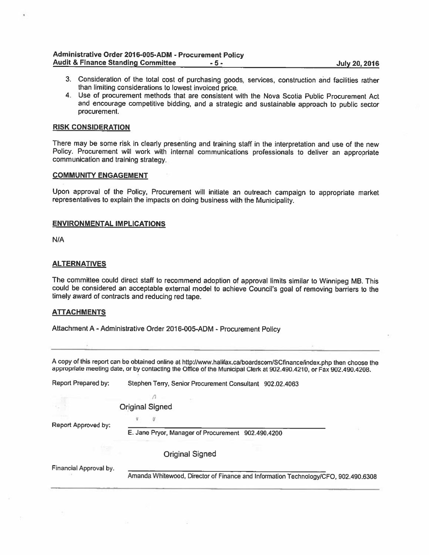#### Administrative Order 2016-005-ADM - Procurement Policy Audit & Finance Standing Committee -5- -5- July 20, 2016

- 3. Consideration of the total cost of purchasing goods, services, construction and facilities rather than limiting considerations to lowest invoiced price.
- 4. Use of procurement methods that are consistent with the Nova Scotia Public Procurement Act and encourage competitive bidding, and <sup>a</sup> strategic and sustainable approach to public sector procurement.

#### RISK CONSIDERATION

There may be some risk in clearly presenting and training staff in the interpretation and use of the new Policy. Procurement will work with internal communications professionals to deliver an appropriate communication and training strategy.

#### COMMUNITY ENGAGEMENT

Upon approval of the Policy, Procurement will initiate an outreach campaign to appropriate market representatives to explain the impacts on doing business with the Municipality.

#### ENVIRONMENTAL IMPLICATIONS

N/A

#### **ALTERNATIVES**

The committee could direct staff to recommend adoption of approval limits similar to Winnipeg MB. This could be considered an acceptable external model to achieve Council's goa<sup>l</sup> of removing barriers to the timely award of contracts and reducing red tape.

#### **ATTACHMENTS**

Attachment <sup>A</sup> -Administrative Order 2016-005-ADM -Procurement Policy

<sup>A</sup> copy of this repor<sup>t</sup> can be obtained online at http://www.halifax.ca/boardscom/SCtinanceñndex.php then choose the appropriate meeting date, or by contacting the Office of the Municipal Clerk at 902.490.4210, or Fax 902.490.4208.

| Report Prepared by:    | Stephen Terry, Senior Procurement Consultant 902.02.4063                           |
|------------------------|------------------------------------------------------------------------------------|
|                        |                                                                                    |
|                        | <b>Original Signed</b>                                                             |
| Report Approved by:    |                                                                                    |
|                        | E. Jane Pryor, Manager of Procurement 902.490.4200                                 |
|                        | <b>Original Signed</b>                                                             |
| Financial Approval by. |                                                                                    |
|                        | Amanda Whitewood, Director of Finance and Information Technology/CFO, 902.490.6308 |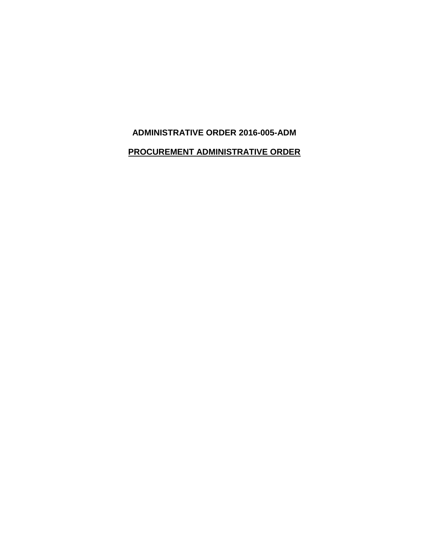## **ADMINISTRATIVE ORDER 2016-005-ADM**

## **PROCUREMENT ADMINISTRATIVE ORDER**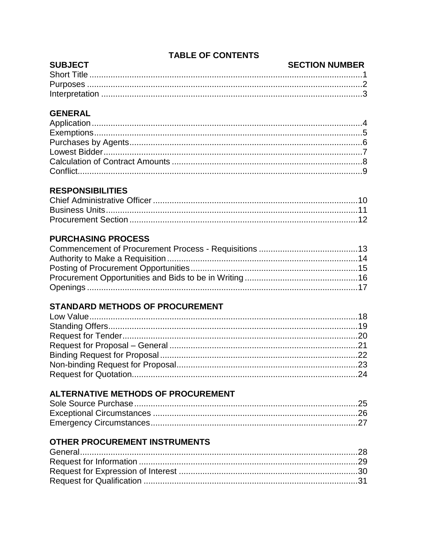# **TABLE OF CONTENTS**

#### **SUBJECT SECTION NUMBER**

# **GENERAL**

# **RESPONSIBILITIES**

# **PURCHASING PROCESS**

# **STANDARD METHODS OF PROCUREMENT**

# **ALTERNATIVE METHODS OF PROCUREMENT**

# **OTHER PROCUREMENT INSTRUMENTS**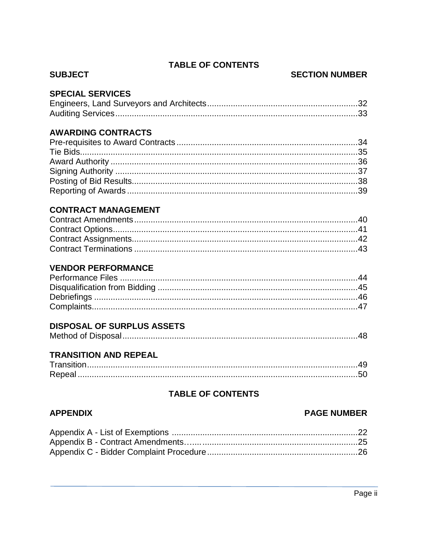## **TABLE OF CONTENTS**

#### **SUBJECT**

### **SECTION NUMBER**

## **SPECIAL SERVICES**

## **AWARDING CONTRACTS**

## **CONTRACT MANAGEMENT**

# **VENDOR PERFORMANCE**

# **DISPOSAL OF SURPLUS ASSETS**

|--|

# **TRANSITION AND REPEAL**

# **TABLE OF CONTENTS**

## **APPENDIX**

#### **PAGE NUMBER**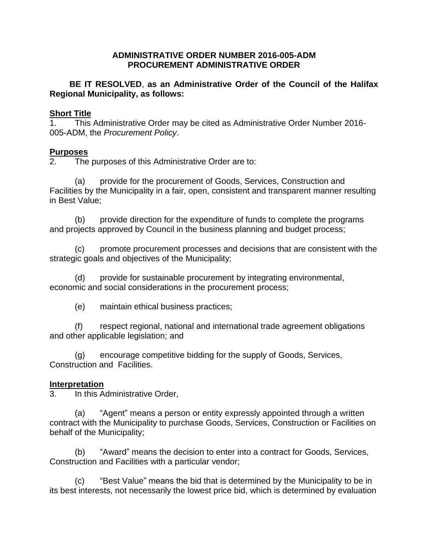#### **ADMINISTRATIVE ORDER NUMBER 2016-005-ADM PROCUREMENT ADMINISTRATIVE ORDER**

**BE IT RESOLVED**, **as an Administrative Order of the Council of the Halifax Regional Municipality, as follows:**

#### **Short Title**

1. This Administrative Order may be cited as Administrative Order Number 2016- 005-ADM, the *Procurement Policy*.

#### **Purposes**

2. The purposes of this Administrative Order are to:

(a) provide for the procurement of Goods, Services, Construction and Facilities by the Municipality in a fair, open, consistent and transparent manner resulting in Best Value;

(b) provide direction for the expenditure of funds to complete the programs and projects approved by Council in the business planning and budget process;

(c) promote procurement processes and decisions that are consistent with the strategic goals and objectives of the Municipality;

(d) provide for sustainable procurement by integrating environmental, economic and social considerations in the procurement process;

(e) maintain ethical business practices;

(f) respect regional, national and international trade agreement obligations and other applicable legislation; and

(g) encourage competitive bidding for the supply of Goods, Services, Construction and Facilities.

## **Interpretation**

3. In this Administrative Order,

(a) "Agent" means a person or entity expressly appointed through a written contract with the Municipality to purchase Goods, Services, Construction or Facilities on behalf of the Municipality;

(b) "Award" means the decision to enter into a contract for Goods, Services, Construction and Facilities with a particular vendor;

(c) "Best Value" means the bid that is determined by the Municipality to be in its best interests, not necessarily the lowest price bid, which is determined by evaluation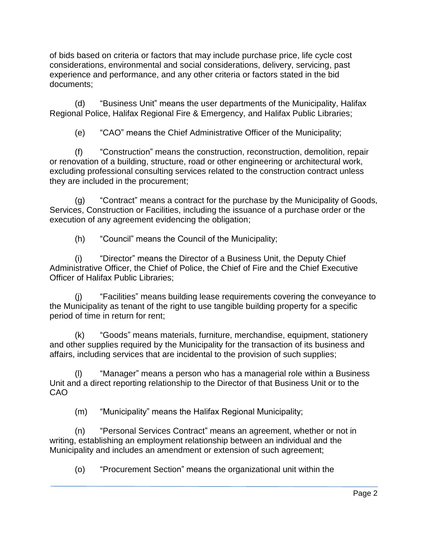of bids based on criteria or factors that may include purchase price, life cycle cost considerations, environmental and social considerations, delivery, servicing, past experience and performance, and any other criteria or factors stated in the bid documents;

(d) "Business Unit" means the user departments of the Municipality, Halifax Regional Police, Halifax Regional Fire & Emergency, and Halifax Public Libraries;

(e) "CAO" means the Chief Administrative Officer of the Municipality;

(f) "Construction" means the construction, reconstruction, demolition, repair or renovation of a building, structure, road or other engineering or architectural work, excluding professional consulting services related to the construction contract unless they are included in the procurement;

(g) "Contract" means a contract for the purchase by the Municipality of Goods, Services, Construction or Facilities, including the issuance of a purchase order or the execution of any agreement evidencing the obligation;

(h) "Council" means the Council of the Municipality;

(i) "Director" means the Director of a Business Unit, the Deputy Chief Administrative Officer, the Chief of Police, the Chief of Fire and the Chief Executive Officer of Halifax Public Libraries;

(j) "Facilities" means building lease requirements covering the conveyance to the Municipality as tenant of the right to use tangible building property for a specific period of time in return for rent;

(k) "Goods" means materials, furniture, merchandise, equipment, stationery and other supplies required by the Municipality for the transaction of its business and affairs, including services that are incidental to the provision of such supplies;

(l) "Manager" means a person who has a managerial role within a Business Unit and a direct reporting relationship to the Director of that Business Unit or to the CAO

(m) "Municipality" means the Halifax Regional Municipality;

(n) "Personal Services Contract" means an agreement, whether or not in writing, establishing an employment relationship between an individual and the Municipality and includes an amendment or extension of such agreement;

(o) "Procurement Section" means the organizational unit within the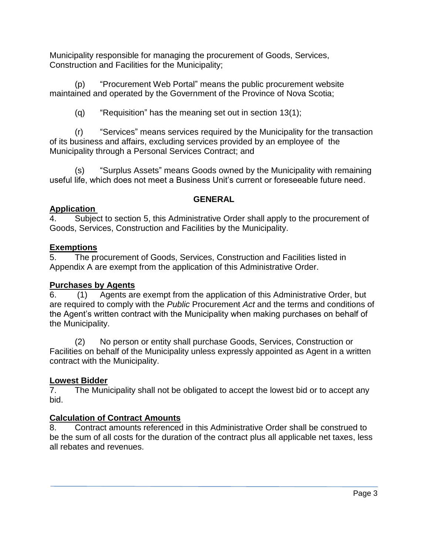Municipality responsible for managing the procurement of Goods, Services, Construction and Facilities for the Municipality;

(p) "Procurement Web Portal" means the public procurement website maintained and operated by the Government of the Province of Nova Scotia;

 $(q)$  "Requisition" has the meaning set out in section 13(1);

(r) "Services" means services required by the Municipality for the transaction of its business and affairs, excluding services provided by an employee of the Municipality through a Personal Services Contract; and

(s) "Surplus Assets" means Goods owned by the Municipality with remaining useful life, which does not meet a Business Unit's current or foreseeable future need.

# **GENERAL**

## **Application**

4. Subject to section 5, this Administrative Order shall apply to the procurement of Goods, Services, Construction and Facilities by the Municipality.

# **Exemptions**

5. The procurement of Goods, Services, Construction and Facilities listed in Appendix A are exempt from the application of this Administrative Order.

# **Purchases by Agents**

6. (1) Agents are exempt from the application of this Administrative Order, but are required to comply with the *Public* Procurement *Act* and the terms and conditions of the Agent's written contract with the Municipality when making purchases on behalf of the Municipality.

(2) No person or entity shall purchase Goods, Services, Construction or Facilities on behalf of the Municipality unless expressly appointed as Agent in a written contract with the Municipality.

# **Lowest Bidder**

7. The Municipality shall not be obligated to accept the lowest bid or to accept any bid.

# **Calculation of Contract Amounts**

8. Contract amounts referenced in this Administrative Order shall be construed to be the sum of all costs for the duration of the contract plus all applicable net taxes, less all rebates and revenues.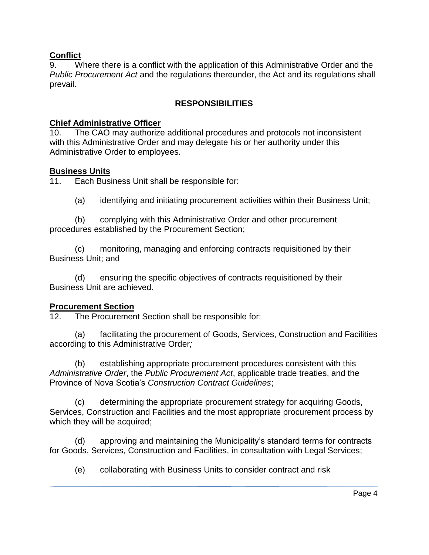## **Conflict**

9. Where there is a conflict with the application of this Administrative Order and the *Public Procurement Act* and the regulations thereunder, the Act and its regulations shall prevail.

# **RESPONSIBILITIES**

### **Chief Administrative Officer**

10. The CAO may authorize additional procedures and protocols not inconsistent with this Administrative Order and may delegate his or her authority under this Administrative Order to employees.

#### **Business Units**

11. Each Business Unit shall be responsible for:

(a) identifying and initiating procurement activities within their Business Unit;

(b) complying with this Administrative Order and other procurement procedures established by the Procurement Section;

(c) monitoring, managing and enforcing contracts requisitioned by their Business Unit; and

(d) ensuring the specific objectives of contracts requisitioned by their Business Unit are achieved.

## **Procurement Section**

12. The Procurement Section shall be responsible for:

(a) facilitating the procurement of Goods, Services, Construction and Facilities according to this Administrative Order*;*

(b) establishing appropriate procurement procedures consistent with this *Administrative Order*, the *Public Procurement Act*, applicable trade treaties, and the Province of Nova Scotia's *Construction Contract Guidelines*;

(c) determining the appropriate procurement strategy for acquiring Goods, Services, Construction and Facilities and the most appropriate procurement process by which they will be acquired;

(d) approving and maintaining the Municipality's standard terms for contracts for Goods, Services, Construction and Facilities, in consultation with Legal Services;

(e) collaborating with Business Units to consider contract and risk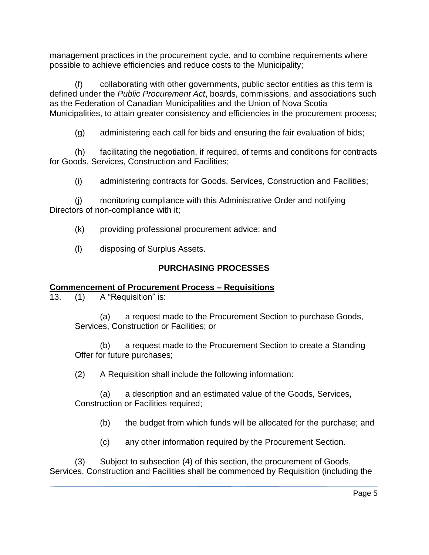management practices in the procurement cycle, and to combine requirements where possible to achieve efficiencies and reduce costs to the Municipality;

(f) collaborating with other governments, public sector entities as this term is defined under the *Public Procurement Act*, boards, commissions, and associations such as the Federation of Canadian Municipalities and the Union of Nova Scotia Municipalities, to attain greater consistency and efficiencies in the procurement process;

(g) administering each call for bids and ensuring the fair evaluation of bids;

(h) facilitating the negotiation, if required, of terms and conditions for contracts for Goods, Services, Construction and Facilities;

(i) administering contracts for Goods, Services, Construction and Facilities;

(j) monitoring compliance with this Administrative Order and notifying Directors of non-compliance with it;

(k) providing professional procurement advice; and

(l) disposing of Surplus Assets.

# **PURCHASING PROCESSES**

# **Commencement of Procurement Process – Requisitions**

13. (1) A "Requisition" is:

(a) a request made to the Procurement Section to purchase Goods, Services, Construction or Facilities; or

(b) a request made to the Procurement Section to create a Standing Offer for future purchases;

(2) A Requisition shall include the following information:

(a) a description and an estimated value of the Goods, Services, Construction or Facilities required;

(b) the budget from which funds will be allocated for the purchase; and

(c) any other information required by the Procurement Section.

(3) Subject to subsection (4) of this section, the procurement of Goods, Services, Construction and Facilities shall be commenced by Requisition (including the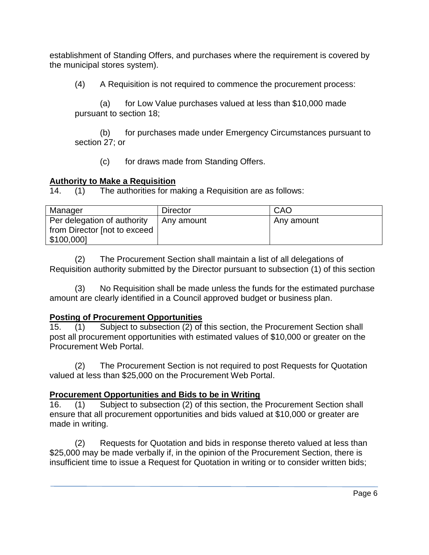establishment of Standing Offers, and purchases where the requirement is covered by the municipal stores system).

(4) A Requisition is not required to commence the procurement process:

(a) for Low Value purchases valued at less than \$10,000 made pursuant to section 18;

(b) for purchases made under Emergency Circumstances pursuant to section 27; or

(c) for draws made from Standing Offers.

## **Authority to Make a Requisition**

14. (1) The authorities for making a Requisition are as follows:

| Manager                                                                   | <b>Director</b> | CAO        |
|---------------------------------------------------------------------------|-----------------|------------|
| Per delegation of authority<br>from Director [not to exceed<br>\$100,000] | Any amount      | Any amount |

(2) The Procurement Section shall maintain a list of all delegations of Requisition authority submitted by the Director pursuant to subsection (1) of this section

(3) No Requisition shall be made unless the funds for the estimated purchase amount are clearly identified in a Council approved budget or business plan.

# **Posting of Procurement Opportunities**

15. (1) Subject to subsection (2) of this section, the Procurement Section shall post all procurement opportunities with estimated values of \$10,000 or greater on the Procurement Web Portal.

(2) The Procurement Section is not required to post Requests for Quotation valued at less than \$25,000 on the Procurement Web Portal.

# **Procurement Opportunities and Bids to be in Writing**

16. (1) Subject to subsection (2) of this section, the Procurement Section shall ensure that all procurement opportunities and bids valued at \$10,000 or greater are made in writing.

(2) Requests for Quotation and bids in response thereto valued at less than \$25,000 may be made verbally if, in the opinion of the Procurement Section, there is insufficient time to issue a Request for Quotation in writing or to consider written bids;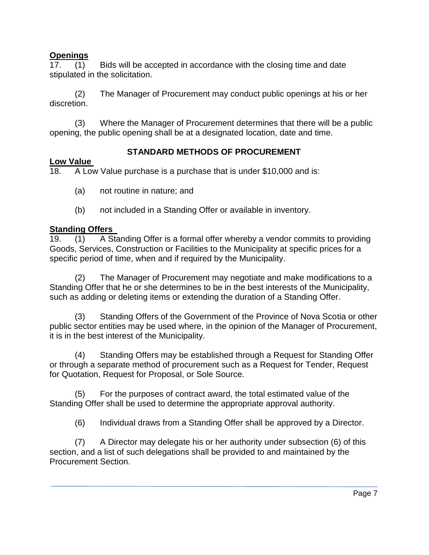## **Openings**

17. (1) Bids will be accepted in accordance with the closing time and date stipulated in the solicitation.

(2) The Manager of Procurement may conduct public openings at his or her discretion.

(3) Where the Manager of Procurement determines that there will be a public opening, the public opening shall be at a designated location, date and time.

# **STANDARD METHODS OF PROCUREMENT**

# **Low Value**

18. A Low Value purchase is a purchase that is under \$10,000 and is:

- (a) not routine in nature; and
- (b) not included in a Standing Offer or available in inventory.

## **Standing Offers**

19. (1) A Standing Offer is a formal offer whereby a vendor commits to providing Goods, Services, Construction or Facilities to the Municipality at specific prices for a specific period of time, when and if required by the Municipality.

(2) The Manager of Procurement may negotiate and make modifications to a Standing Offer that he or she determines to be in the best interests of the Municipality, such as adding or deleting items or extending the duration of a Standing Offer.

(3) Standing Offers of the Government of the Province of Nova Scotia or other public sector entities may be used where, in the opinion of the Manager of Procurement, it is in the best interest of the Municipality.

(4) Standing Offers may be established through a Request for Standing Offer or through a separate method of procurement such as a Request for Tender, Request for Quotation, Request for Proposal, or Sole Source.

(5) For the purposes of contract award, the total estimated value of the Standing Offer shall be used to determine the appropriate approval authority.

(6) Individual draws from a Standing Offer shall be approved by a Director.

(7) A Director may delegate his or her authority under subsection (6) of this section, and a list of such delegations shall be provided to and maintained by the Procurement Section.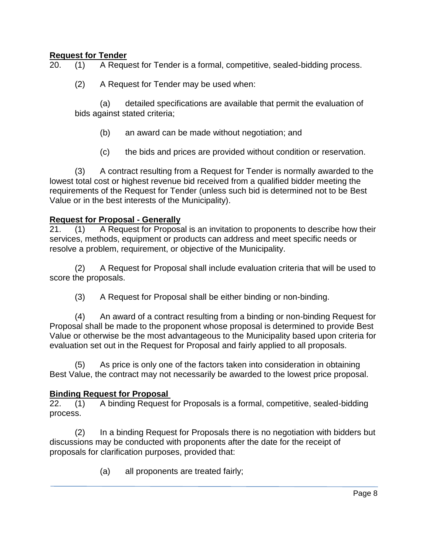## **Request for Tender**

20. (1) A Request for Tender is a formal, competitive, sealed-bidding process.

(2) A Request for Tender may be used when:

(a) detailed specifications are available that permit the evaluation of bids against stated criteria;

- (b) an award can be made without negotiation; and
- (c) the bids and prices are provided without condition or reservation.

(3) A contract resulting from a Request for Tender is normally awarded to the lowest total cost or highest revenue bid received from a qualified bidder meeting the requirements of the Request for Tender (unless such bid is determined not to be Best Value or in the best interests of the Municipality).

#### **Request for Proposal - Generally**

21. (1) A Request for Proposal is an invitation to proponents to describe how their services, methods, equipment or products can address and meet specific needs or resolve a problem, requirement, or objective of the Municipality.

(2) A Request for Proposal shall include evaluation criteria that will be used to score the proposals.

(3) A Request for Proposal shall be either binding or non-binding.

(4) An award of a contract resulting from a binding or non-binding Request for Proposal shall be made to the proponent whose proposal is determined to provide Best Value or otherwise be the most advantageous to the Municipality based upon criteria for evaluation set out in the Request for Proposal and fairly applied to all proposals.

(5) As price is only one of the factors taken into consideration in obtaining Best Value, the contract may not necessarily be awarded to the lowest price proposal.

#### **Binding Request for Proposal**

22. (1) A binding Request for Proposals is a formal, competitive, sealed-bidding process.

(2) In a binding Request for Proposals there is no negotiation with bidders but discussions may be conducted with proponents after the date for the receipt of proposals for clarification purposes, provided that:

(a) all proponents are treated fairly;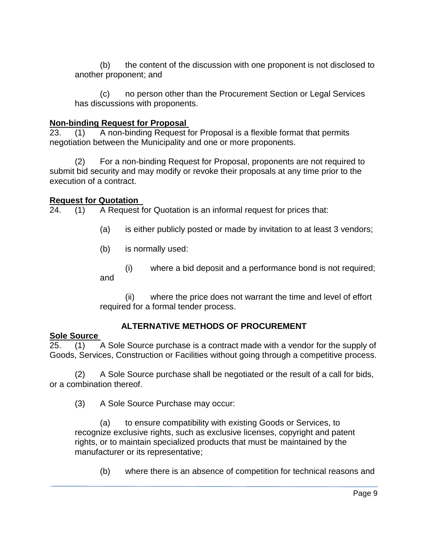(b) the content of the discussion with one proponent is not disclosed to another proponent; and

(c) no person other than the Procurement Section or Legal Services has discussions with proponents.

## **Non-binding Request for Proposal**

23. (1) A non-binding Request for Proposal is a flexible format that permits negotiation between the Municipality and one or more proponents.

(2) For a non-binding Request for Proposal, proponents are not required to submit bid security and may modify or revoke their proposals at any time prior to the execution of a contract.

## **Request for Quotation**

24. (1) A Request for Quotation is an informal request for prices that:

- (a) is either publicly posted or made by invitation to at least 3 vendors;
- (b) is normally used:
- (i) where a bid deposit and a performance bond is not required; and

(ii) where the price does not warrant the time and level of effort required for a formal tender process.

# **ALTERNATIVE METHODS OF PROCUREMENT**

## **Sole Source**

25. (1) A Sole Source purchase is a contract made with a vendor for the supply of Goods, Services, Construction or Facilities without going through a competitive process.

(2) A Sole Source purchase shall be negotiated or the result of a call for bids, or a combination thereof.

(3) A Sole Source Purchase may occur:

(a) to ensure compatibility with existing Goods or Services, to recognize exclusive rights, such as exclusive licenses, copyright and patent rights, or to maintain specialized products that must be maintained by the manufacturer or its representative;

(b) where there is an absence of competition for technical reasons and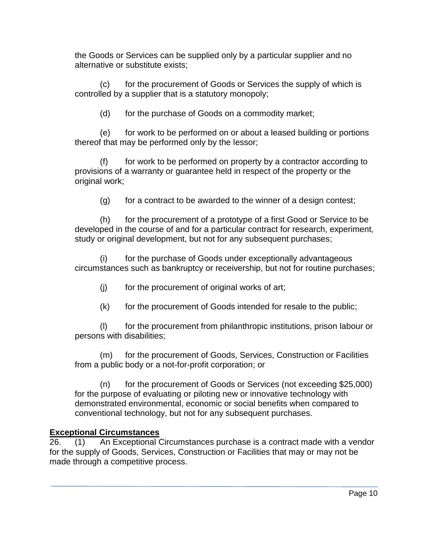the Goods or Services can be supplied only by a particular supplier and no alternative or substitute exists;

(c) for the procurement of Goods or Services the supply of which is controlled by a supplier that is a statutory monopoly;

(d) for the purchase of Goods on a commodity market;

(e) for work to be performed on or about a leased building or portions thereof that may be performed only by the lessor;

(f) for work to be performed on property by a contractor according to provisions of a warranty or guarantee held in respect of the property or the original work;

(g) for a contract to be awarded to the winner of a design contest;

(h) for the procurement of a prototype of a first Good or Service to be developed in the course of and for a particular contract for research, experiment, study or original development, but not for any subsequent purchases;

(i) for the purchase of Goods under exceptionally advantageous circumstances such as bankruptcy or receivership, but not for routine purchases;

(j) for the procurement of original works of art;

(k) for the procurement of Goods intended for resale to the public;

(l) for the procurement from philanthropic institutions, prison labour or persons with disabilities;

(m) for the procurement of Goods, Services, Construction or Facilities from a public body or a not-for-profit corporation; or

(n) for the procurement of Goods or Services (not exceeding \$25,000) for the purpose of evaluating or piloting new or innovative technology with demonstrated environmental, economic or social benefits when compared to conventional technology, but not for any subsequent purchases.

# **Exceptional Circumstances**

26. (1) An Exceptional Circumstances purchase is a contract made with a vendor for the supply of Goods, Services, Construction or Facilities that may or may not be made through a competitive process.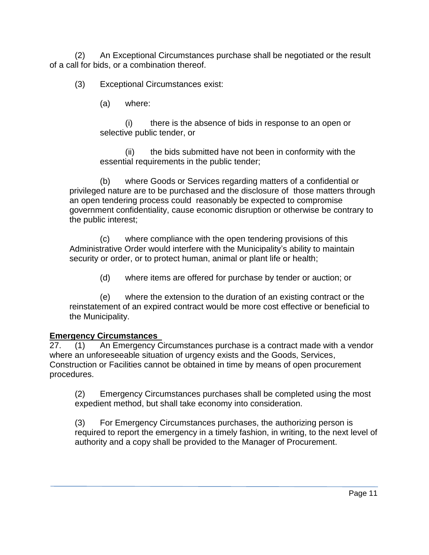(2) An Exceptional Circumstances purchase shall be negotiated or the result of a call for bids, or a combination thereof.

(3) Exceptional Circumstances exist:

(a) where:

(i) there is the absence of bids in response to an open or selective public tender, or

(ii) the bids submitted have not been in conformity with the essential requirements in the public tender;

(b) where Goods or Services regarding matters of a confidential or privileged nature are to be purchased and the disclosure of those matters through an open tendering process could reasonably be expected to compromise government confidentiality, cause economic disruption or otherwise be contrary to the public interest;

(c) where compliance with the open tendering provisions of this Administrative Order would interfere with the Municipality's ability to maintain security or order, or to protect human, animal or plant life or health;

(d) where items are offered for purchase by tender or auction; or

(e) where the extension to the duration of an existing contract or the reinstatement of an expired contract would be more cost effective or beneficial to the Municipality.

# **Emergency Circumstances**

27. (1) An Emergency Circumstances purchase is a contract made with a vendor where an unforeseeable situation of urgency exists and the Goods, Services, Construction or Facilities cannot be obtained in time by means of open procurement procedures.

(2) Emergency Circumstances purchases shall be completed using the most expedient method, but shall take economy into consideration.

(3) For Emergency Circumstances purchases, the authorizing person is required to report the emergency in a timely fashion, in writing, to the next level of authority and a copy shall be provided to the Manager of Procurement.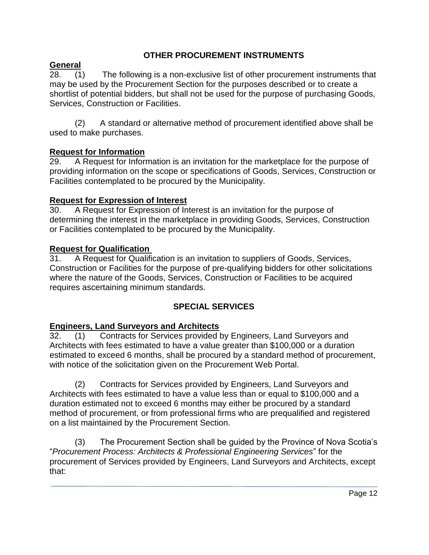## **OTHER PROCUREMENT INSTRUMENTS**

## **General**

28. (1) The following is a non-exclusive list of other procurement instruments that may be used by the Procurement Section for the purposes described or to create a shortlist of potential bidders, but shall not be used for the purpose of purchasing Goods, Services, Construction or Facilities.

(2) A standard or alternative method of procurement identified above shall be used to make purchases.

## **Request for Information**

29. A Request for Information is an invitation for the marketplace for the purpose of providing information on the scope or specifications of Goods, Services, Construction or Facilities contemplated to be procured by the Municipality.

## **Request for Expression of Interest**

30. A Request for Expression of Interest is an invitation for the purpose of determining the interest in the marketplace in providing Goods, Services, Construction or Facilities contemplated to be procured by the Municipality.

## **Request for Qualification**

31. A Request for Qualification is an invitation to suppliers of Goods, Services, Construction or Facilities for the purpose of pre-qualifying bidders for other solicitations where the nature of the Goods, Services, Construction or Facilities to be acquired requires ascertaining minimum standards.

# **SPECIAL SERVICES**

## **Engineers, Land Surveyors and Architects**

32. (1) Contracts for Services provided by Engineers, Land Surveyors and Architects with fees estimated to have a value greater than \$100,000 or a duration estimated to exceed 6 months, shall be procured by a standard method of procurement, with notice of the solicitation given on the Procurement Web Portal.

(2) Contracts for Services provided by Engineers, Land Surveyors and Architects with fees estimated to have a value less than or equal to \$100,000 and a duration estimated not to exceed 6 months may either be procured by a standard method of procurement, or from professional firms who are prequalified and registered on a list maintained by the Procurement Section.

(3) The Procurement Section shall be guided by the Province of Nova Scotia's "*Procurement Process: Architects & Professional Engineering Services*" for the procurement of Services provided by Engineers, Land Surveyors and Architects, except that: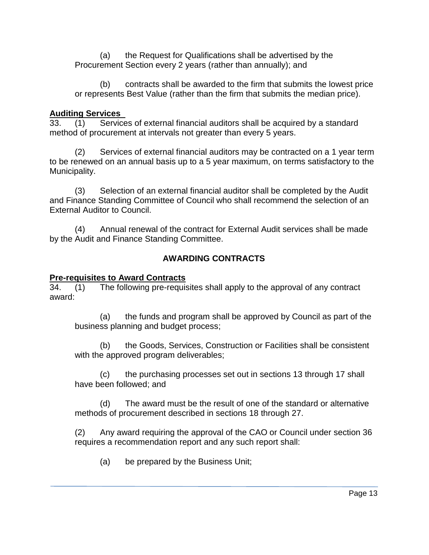(a) the Request for Qualifications shall be advertised by the Procurement Section every 2 years (rather than annually); and

(b) contracts shall be awarded to the firm that submits the lowest price or represents Best Value (rather than the firm that submits the median price).

## **Auditing Services**

33. (1) Services of external financial auditors shall be acquired by a standard method of procurement at intervals not greater than every 5 years.

(2) Services of external financial auditors may be contracted on a 1 year term to be renewed on an annual basis up to a 5 year maximum, on terms satisfactory to the Municipality.

(3) Selection of an external financial auditor shall be completed by the Audit and Finance Standing Committee of Council who shall recommend the selection of an External Auditor to Council.

(4) Annual renewal of the contract for External Audit services shall be made by the Audit and Finance Standing Committee.

# **AWARDING CONTRACTS**

## **Pre-requisites to Award Contracts**

34. (1) The following pre-requisites shall apply to the approval of any contract award:

(a) the funds and program shall be approved by Council as part of the business planning and budget process;

(b) the Goods, Services, Construction or Facilities shall be consistent with the approved program deliverables;

(c) the purchasing processes set out in sections 13 through 17 shall have been followed; and

(d) The award must be the result of one of the standard or alternative methods of procurement described in sections 18 through 27.

(2) Any award requiring the approval of the CAO or Council under section 36 requires a recommendation report and any such report shall:

(a) be prepared by the Business Unit;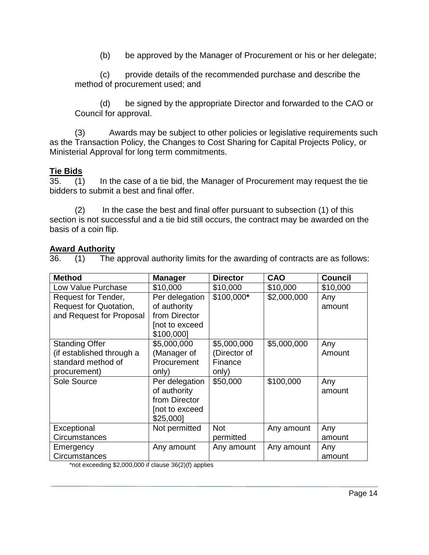(b) be approved by the Manager of Procurement or his or her delegate;

(c) provide details of the recommended purchase and describe the method of procurement used; and

(d) be signed by the appropriate Director and forwarded to the CAO or Council for approval.

(3) Awards may be subject to other policies or legislative requirements such as the Transaction Policy, the Changes to Cost Sharing for Capital Projects Policy, or Ministerial Approval for long term commitments.

## **Tie Bids**

35. (1) In the case of a tie bid, the Manager of Procurement may request the tie bidders to submit a best and final offer.

(2) In the case the best and final offer pursuant to subsection (1) of this section is not successful and a tie bid still occurs, the contract may be awarded on the basis of a coin flip.

## **Award Authority**

36. (1) The approval authority limits for the awarding of contracts are as follows:

| <b>Method</b>                                                          | <b>Manager</b> | <b>Director</b> | <b>CAO</b>  | <b>Council</b> |
|------------------------------------------------------------------------|----------------|-----------------|-------------|----------------|
| Low Value Purchase                                                     | \$10,000       | \$10,000        | \$10,000    | \$10,000       |
| Request for Tender,                                                    | Per delegation | \$100,000*      | \$2,000,000 | Any            |
| Request for Quotation,                                                 | of authority   |                 |             | amount         |
| and Request for Proposal                                               | from Director  |                 |             |                |
|                                                                        | not to exceed  |                 |             |                |
|                                                                        | \$100,000]     |                 |             |                |
| <b>Standing Offer</b>                                                  | \$5,000,000    | \$5,000,000     | \$5,000,000 | Any            |
| (if established through a                                              | (Manager of    | (Director of    |             | Amount         |
| standard method of                                                     | Procurement    | Finance         |             |                |
| procurement)                                                           | only)          | only)           |             |                |
| Sole Source                                                            | Per delegation | \$50,000        | \$100,000   | Any            |
|                                                                        | of authority   |                 |             | amount         |
|                                                                        | from Director  |                 |             |                |
|                                                                        | not to exceed  |                 |             |                |
|                                                                        | \$25,000]      |                 |             |                |
| Exceptional                                                            | Not permitted  | <b>Not</b>      | Any amount  | Any            |
| Circumstances                                                          |                | permitted       |             | amount         |
| Emergency                                                              | Any amount     | Any amount      | Any amount  | Any            |
| Circumstances<br>*not exceeding $$200000$ if clause $26(2)(f)$ applies |                |                 |             | amount         |

 $\,$  not exceeding \$2,000,000 if clause 36(2)(f) applies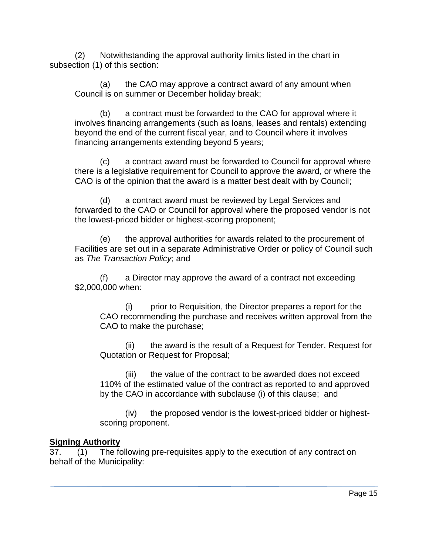(2) Notwithstanding the approval authority limits listed in the chart in subsection (1) of this section:

(a) the CAO may approve a contract award of any amount when Council is on summer or December holiday break;

(b) a contract must be forwarded to the CAO for approval where it involves financing arrangements (such as loans, leases and rentals) extending beyond the end of the current fiscal year, and to Council where it involves financing arrangements extending beyond 5 years;

(c) a contract award must be forwarded to Council for approval where there is a legislative requirement for Council to approve the award, or where the CAO is of the opinion that the award is a matter best dealt with by Council;

(d) a contract award must be reviewed by Legal Services and forwarded to the CAO or Council for approval where the proposed vendor is not the lowest-priced bidder or highest-scoring proponent;

(e) the approval authorities for awards related to the procurement of Facilities are set out in a separate Administrative Order or policy of Council such as *The Transaction Policy*; and

a Director may approve the award of a contract not exceeding \$2,000,000 when:

(i) prior to Requisition, the Director prepares a report for the CAO recommending the purchase and receives written approval from the CAO to make the purchase;

(ii) the award is the result of a Request for Tender, Request for Quotation or Request for Proposal;

(iii) the value of the contract to be awarded does not exceed 110% of the estimated value of the contract as reported to and approved by the CAO in accordance with subclause (i) of this clause; and

(iv) the proposed vendor is the lowest-priced bidder or highestscoring proponent.

# **Signing Authority**

37. (1) The following pre-requisites apply to the execution of any contract on behalf of the Municipality: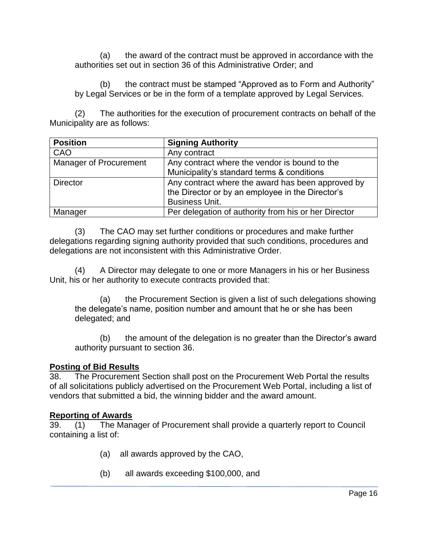(a) the award of the contract must be approved in accordance with the authorities set out in section 36 of this Administrative Order; and

(b) the contract must be stamped "Approved as to Form and Authority" by Legal Services or be in the form of a template approved by Legal Services.

(2) The authorities for the execution of procurement contracts on behalf of the Municipality are as follows:

| <b>Position</b>        | <b>Signing Authority</b>                             |
|------------------------|------------------------------------------------------|
| CAO                    | Any contract                                         |
| Manager of Procurement | Any contract where the vendor is bound to the        |
|                        | Municipality's standard terms & conditions           |
| <b>Director</b>        | Any contract where the award has been approved by    |
|                        | the Director or by an employee in the Director's     |
|                        | <b>Business Unit.</b>                                |
| Manager                | Per delegation of authority from his or her Director |

(3) The CAO may set further conditions or procedures and make further delegations regarding signing authority provided that such conditions, procedures and delegations are not inconsistent with this Administrative Order.

(4) A Director may delegate to one or more Managers in his or her Business Unit, his or her authority to execute contracts provided that:

(a) the Procurement Section is given a list of such delegations showing the delegate's name, position number and amount that he or she has been delegated; and

(b) the amount of the delegation is no greater than the Director's award authority pursuant to section 36.

## **Posting of Bid Results**

38. The Procurement Section shall post on the Procurement Web Portal the results of all solicitations publicly advertised on the Procurement Web Portal, including a list of vendors that submitted a bid, the winning bidder and the award amount.

## **Reporting of Awards**

39. (1) The Manager of Procurement shall provide a quarterly report to Council containing a list of:

- (a) all awards approved by the CAO,
- (b) all awards exceeding \$100,000, and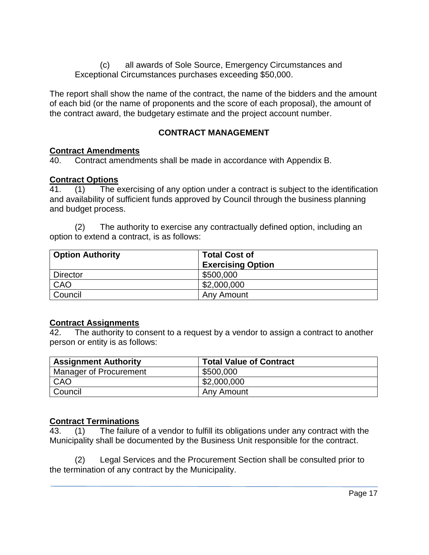(c) all awards of Sole Source, Emergency Circumstances and Exceptional Circumstances purchases exceeding \$50,000.

The report shall show the name of the contract, the name of the bidders and the amount of each bid (or the name of proponents and the score of each proposal), the amount of the contract award, the budgetary estimate and the project account number.

## **CONTRACT MANAGEMENT**

#### **Contract Amendments**

40. Contract amendments shall be made in accordance with Appendix B.

#### **Contract Options**

41. (1) The exercising of any option under a contract is subject to the identification and availability of sufficient funds approved by Council through the business planning and budget process.

(2) The authority to exercise any contractually defined option, including an option to extend a contract, is as follows:

| <b>Option Authority</b> | <b>Total Cost of</b><br><b>Exercising Option</b> |
|-------------------------|--------------------------------------------------|
| <b>Director</b>         | \$500,000                                        |
| CAO                     | \$2,000,000                                      |
| Council                 | Any Amount                                       |

#### **Contract Assignments**

42. The authority to consent to a request by a vendor to assign a contract to another person or entity is as follows:

| <b>Assignment Authority</b> | <b>Total Value of Contract</b> |
|-----------------------------|--------------------------------|
| Manager of Procurement      | \$500,000                      |
| CAO                         | \$2,000,000                    |
| Council                     | Any Amount                     |

## **Contract Terminations**

43. (1) The failure of a vendor to fulfill its obligations under any contract with the Municipality shall be documented by the Business Unit responsible for the contract.

(2) Legal Services and the Procurement Section shall be consulted prior to the termination of any contract by the Municipality.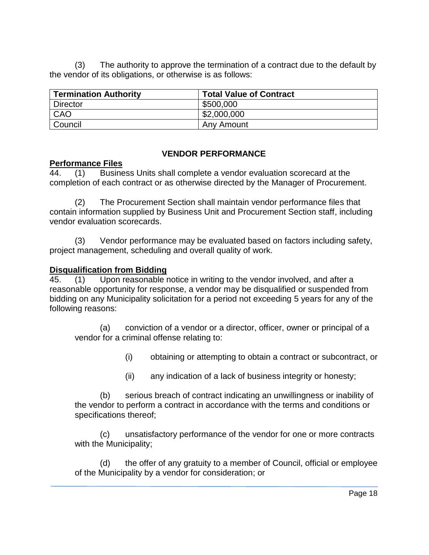(3) The authority to approve the termination of a contract due to the default by the vendor of its obligations, or otherwise is as follows:

| <b>Termination Authority</b> | <b>Total Value of Contract</b> |
|------------------------------|--------------------------------|
| <b>Director</b>              | \$500,000                      |
| CAO                          | \$2,000,000                    |
| Council                      | Any Amount                     |

#### **VENDOR PERFORMANCE**

## **Performance Files**

44. (1) Business Units shall complete a vendor evaluation scorecard at the completion of each contract or as otherwise directed by the Manager of Procurement.

(2) The Procurement Section shall maintain vendor performance files that contain information supplied by Business Unit and Procurement Section staff, including vendor evaluation scorecards.

(3) Vendor performance may be evaluated based on factors including safety, project management, scheduling and overall quality of work.

#### **Disqualification from Bidding**

 $\overline{45.}$  (1) Upon reasonable notice in writing to the vendor involved, and after a reasonable opportunity for response, a vendor may be disqualified or suspended from bidding on any Municipality solicitation for a period not exceeding 5 years for any of the following reasons:

(a) conviction of a vendor or a director, officer, owner or principal of a vendor for a criminal offense relating to:

(i) obtaining or attempting to obtain a contract or subcontract, or

(ii) any indication of a lack of business integrity or honesty;

(b) serious breach of contract indicating an unwillingness or inability of the vendor to perform a contract in accordance with the terms and conditions or specifications thereof;

(c) unsatisfactory performance of the vendor for one or more contracts with the Municipality;

(d) the offer of any gratuity to a member of Council, official or employee of the Municipality by a vendor for consideration; or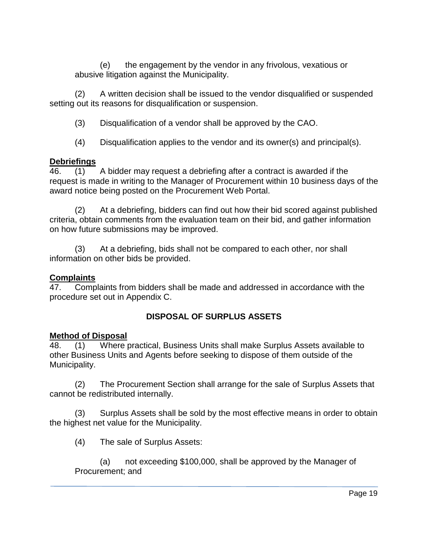(e) the engagement by the vendor in any frivolous, vexatious or abusive litigation against the Municipality.

(2) A written decision shall be issued to the vendor disqualified or suspended setting out its reasons for disqualification or suspension.

(3) Disqualification of a vendor shall be approved by the CAO.

(4) Disqualification applies to the vendor and its owner(s) and principal(s).

## **Debriefings**

46. (1) A bidder may request a debriefing after a contract is awarded if the request is made in writing to the Manager of Procurement within 10 business days of the award notice being posted on the Procurement Web Portal.

(2) At a debriefing, bidders can find out how their bid scored against published criteria, obtain comments from the evaluation team on their bid, and gather information on how future submissions may be improved.

(3) At a debriefing, bids shall not be compared to each other, nor shall information on other bids be provided.

# **Complaints**

47. Complaints from bidders shall be made and addressed in accordance with the procedure set out in Appendix C.

# **DISPOSAL OF SURPLUS ASSETS**

# **Method of Disposal**

48. (1) Where practical, Business Units shall make Surplus Assets available to other Business Units and Agents before seeking to dispose of them outside of the Municipality.

(2) The Procurement Section shall arrange for the sale of Surplus Assets that cannot be redistributed internally.

(3) Surplus Assets shall be sold by the most effective means in order to obtain the highest net value for the Municipality.

(4) The sale of Surplus Assets:

(a) not exceeding \$100,000, shall be approved by the Manager of Procurement; and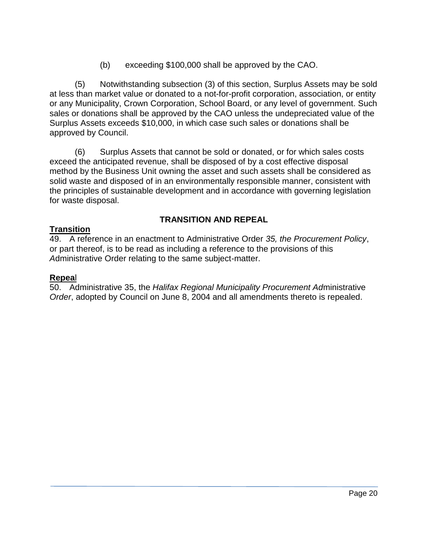(b) exceeding \$100,000 shall be approved by the CAO.

(5) Notwithstanding subsection (3) of this section, Surplus Assets may be sold at less than market value or donated to a not-for-profit corporation, association, or entity or any Municipality, Crown Corporation, School Board, or any level of government. Such sales or donations shall be approved by the CAO unless the undepreciated value of the Surplus Assets exceeds \$10,000, in which case such sales or donations shall be approved by Council.

(6) Surplus Assets that cannot be sold or donated, or for which sales costs exceed the anticipated revenue, shall be disposed of by a cost effective disposal method by the Business Unit owning the asset and such assets shall be considered as solid waste and disposed of in an environmentally responsible manner, consistent with the principles of sustainable development and in accordance with governing legislation for waste disposal.

# **TRANSITION AND REPEAL**

## **Transition**

49. A reference in an enactment to Administrative Order *35, the Procurement Policy*, or part thereof, is to be read as including a reference to the provisions of this *A*dministrative Order relating to the same subject-matter.

## **Repea**l

50. Administrative 35, the *Halifax Regional Municipality Procurement Ad*ministrative *Order*, adopted by Council on June 8, 2004 and all amendments thereto is repealed.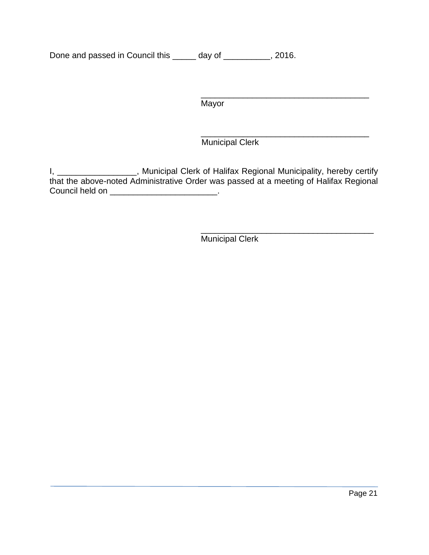Done and passed in Council this \_\_\_\_\_ day of \_\_\_\_\_\_\_\_\_, 2016.

**Mayor** 

\_\_\_\_\_\_\_\_\_\_\_\_\_\_\_\_\_\_\_\_\_\_\_\_\_\_\_\_\_\_\_\_\_\_\_\_ Municipal Clerk

\_\_\_\_\_\_\_\_\_\_\_\_\_\_\_\_\_\_\_\_\_\_\_\_\_\_\_\_\_\_\_\_\_\_\_\_

I, \_\_\_\_\_\_\_\_\_\_\_\_\_\_\_\_\_, Municipal Clerk of Halifax Regional Municipality, hereby certify that the above-noted Administrative Order was passed at a meeting of Halifax Regional Council held on \_\_\_\_\_\_\_\_\_\_\_\_\_\_\_\_\_\_\_\_\_\_\_\_.

> \_\_\_\_\_\_\_\_\_\_\_\_\_\_\_\_\_\_\_\_\_\_\_\_\_\_\_\_\_\_\_\_\_\_\_\_\_ Municipal Clerk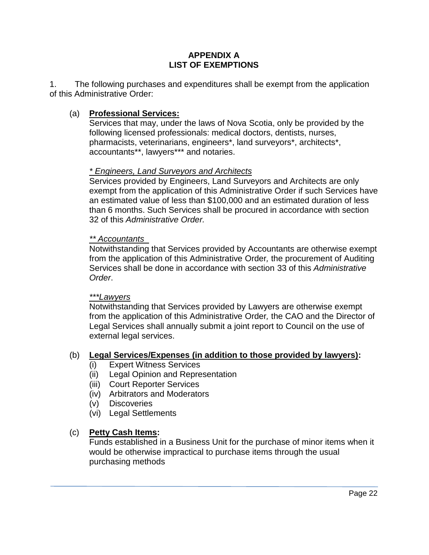#### **APPENDIX A LIST OF EXEMPTIONS**

1. The following purchases and expenditures shall be exempt from the application of this Administrative Order:

## (a) **Professional Services:**

Services that may, under the laws of Nova Scotia, only be provided by the following licensed professionals: medical doctors, dentists, nurses, pharmacists, veterinarians, engineers\*, land surveyors\*, architects\*, accountants\*\*, lawyers\*\*\* and notaries.

## *\* Engineers, Land Surveyors and Architects*

Services provided by Engineers, Land Surveyors and Architects are only exempt from the application of this Administrative Order if such Services have an estimated value of less than \$100,000 and an estimated duration of less than 6 months. Such Services shall be procured in accordance with section 32 of this *Administrative Order.*

#### *\*\* Accountants*

Notwithstanding that Services provided by Accountants are otherwise exempt from the application of this Administrative Order*,* the procurement of Auditing Services shall be done in accordance with section 33 of this *Administrative Order*.

#### *\*\*\*Lawyers*

Notwithstanding that Services provided by Lawyers are otherwise exempt from the application of this Administrative Order*,* the CAO and the Director of Legal Services shall annually submit a joint report to Council on the use of external legal services.

#### (b) **Legal Services/Expenses (in addition to those provided by lawyers):**

- (i) Expert Witness Services
- (ii) Legal Opinion and Representation
- (iii) Court Reporter Services
- (iv) Arbitrators and Moderators
- (v) Discoveries
- (vi) Legal Settlements

#### (c) **Petty Cash Items:**

Funds established in a Business Unit for the purchase of minor items when it would be otherwise impractical to purchase items through the usual purchasing methods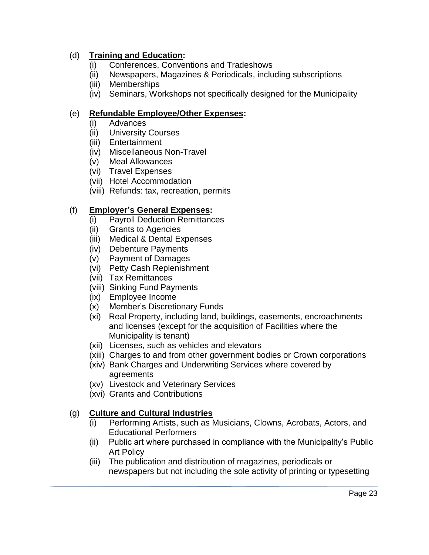## (d) **Training and Education:**

- (i) Conferences, Conventions and Tradeshows
- (ii) Newspapers, Magazines & Periodicals, including subscriptions
- (iii) Memberships
- (iv) Seminars, Workshops not specifically designed for the Municipality

## (e) **Refundable Employee/Other Expenses:**

- (i) Advances
- (ii) University Courses
- (iii) Entertainment
- (iv) Miscellaneous Non-Travel
- (v) Meal Allowances
- (vi) Travel Expenses
- (vii) Hotel Accommodation
- (viii) Refunds: tax, recreation, permits

## (f) **Employer's General Expenses:**

- (i) Payroll Deduction Remittances
- (ii) Grants to Agencies
- (iii) Medical & Dental Expenses
- (iv) Debenture Payments
- (v) Payment of Damages
- (vi) Petty Cash Replenishment
- (vii) Tax Remittances
- (viii) Sinking Fund Payments
- (ix) Employee Income
- (x) Member's Discretionary Funds
- (xi) Real Property, including land, buildings, easements, encroachments and licenses (except for the acquisition of Facilities where the Municipality is tenant)
- (xii) Licenses, such as vehicles and elevators
- (xiii) Charges to and from other government bodies or Crown corporations
- (xiv) Bank Charges and Underwriting Services where covered by agreements
- (xv) Livestock and Veterinary Services
- (xvi) Grants and Contributions

## (g) **Culture and Cultural Industries**

- (i) Performing Artists, such as Musicians, Clowns, Acrobats, Actors, and Educational Performers
- (ii) Public art where purchased in compliance with the Municipality's Public Art Policy
- (iii) The publication and distribution of magazines, periodicals or newspapers but not including the sole activity of printing or typesetting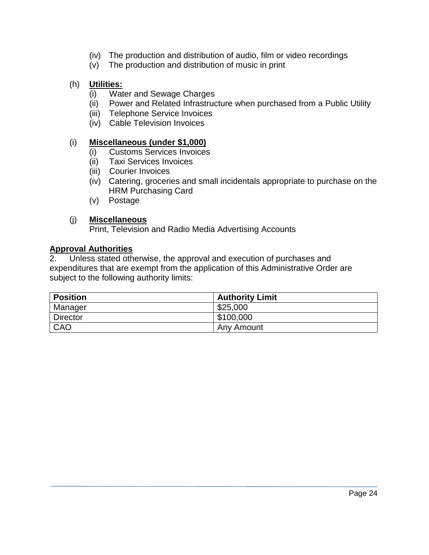- (iv) The production and distribution of audio, film or video recordings
- (v) The production and distribution of music in print

## (h) **Utilities:**

- (i) Water and Sewage Charges
- (ii) Power and Related Infrastructure when purchased from a Public Utility
- (iii) Telephone Service Invoices
- (iv) Cable Television Invoices

## (i) **Miscellaneous (under \$1,000)**

- (i) Customs Services Invoices
- (ii) Taxi Services Invoices
- (iii) Courier Invoices
- (iv) Catering, groceries and small incidentals appropriate to purchase on the HRM Purchasing Card
- (v) Postage

## (j) **Miscellaneous**

Print, Television and Radio Media Advertising Accounts

## **Approval Authorities**

2. Unless stated otherwise, the approval and execution of purchases and expenditures that are exempt from the application of this Administrative Order are subject to the following authority limits:

| <b>Position</b> | <b>Authority Limit</b> |
|-----------------|------------------------|
| Manager         | \$25,000               |
| <b>Director</b> | \$100,000              |
| CAO             | Any Amount             |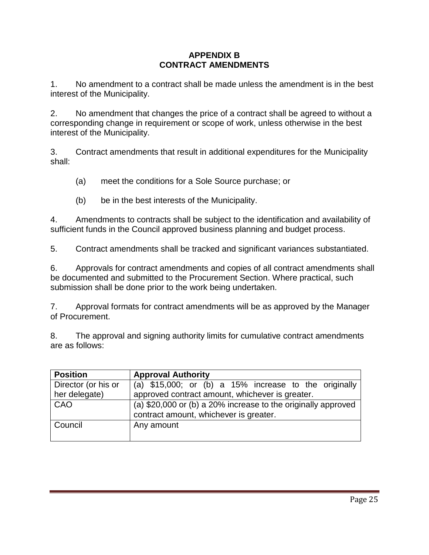#### **APPENDIX B CONTRACT AMENDMENTS**

1. No amendment to a contract shall be made unless the amendment is in the best interest of the Municipality.

2. No amendment that changes the price of a contract shall be agreed to without a corresponding change in requirement or scope of work, unless otherwise in the best interest of the Municipality.

3. Contract amendments that result in additional expenditures for the Municipality shall:

(a) meet the conditions for a Sole Source purchase; or

(b) be in the best interests of the Municipality.

4. Amendments to contracts shall be subject to the identification and availability of sufficient funds in the Council approved business planning and budget process.

5. Contract amendments shall be tracked and significant variances substantiated.

6. Approvals for contract amendments and copies of all contract amendments shall be documented and submitted to the Procurement Section. Where practical, such submission shall be done prior to the work being undertaken.

7. Approval formats for contract amendments will be as approved by the Manager of Procurement.

8. The approval and signing authority limits for cumulative contract amendments are as follows:

| <b>Position</b>     | <b>Approval Authority</b>                                                                               |
|---------------------|---------------------------------------------------------------------------------------------------------|
| Director (or his or | (a) $$15,000$ ; or (b) a $15\%$ increase to the originally                                              |
| her delegate)       | approved contract amount, whichever is greater.                                                         |
| CAO                 | (a) \$20,000 or (b) a 20% increase to the originally approved<br>contract amount, whichever is greater. |
| Council             | Any amount                                                                                              |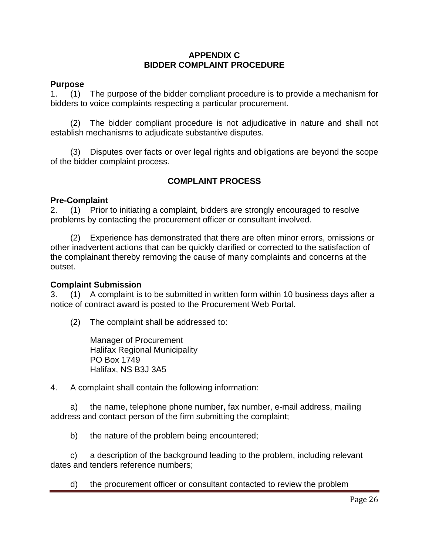#### **APPENDIX C BIDDER COMPLAINT PROCEDURE**

#### **Purpose**

1. (1) The purpose of the bidder compliant procedure is to provide a mechanism for bidders to voice complaints respecting a particular procurement.

(2) The bidder compliant procedure is not adjudicative in nature and shall not establish mechanisms to adjudicate substantive disputes.

(3) Disputes over facts or over legal rights and obligations are beyond the scope of the bidder complaint process.

## **COMPLAINT PROCESS**

#### **Pre-Complaint**

2. (1) Prior to initiating a complaint, bidders are strongly encouraged to resolve problems by contacting the procurement officer or consultant involved.

(2) Experience has demonstrated that there are often minor errors, omissions or other inadvertent actions that can be quickly clarified or corrected to the satisfaction of the complainant thereby removing the cause of many complaints and concerns at the outset.

#### **Complaint Submission**

3. (1) A complaint is to be submitted in written form within 10 business days after a notice of contract award is posted to the Procurement Web Portal.

(2) The complaint shall be addressed to:

Manager of Procurement Halifax Regional Municipality PO Box 1749 Halifax, NS B3J 3A5

4. A complaint shall contain the following information:

a) the name, telephone phone number, fax number, e-mail address, mailing address and contact person of the firm submitting the complaint;

b) the nature of the problem being encountered;

c) a description of the background leading to the problem, including relevant dates and tenders reference numbers;

d) the procurement officer or consultant contacted to review the problem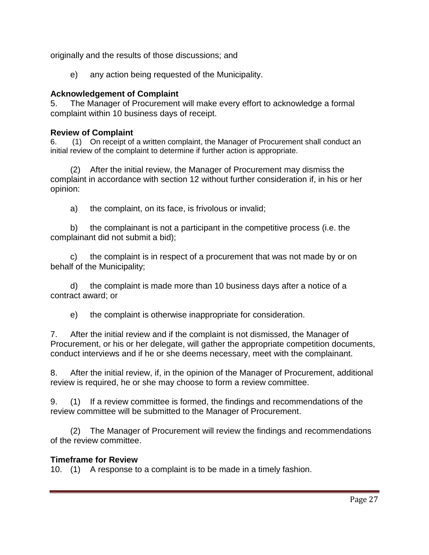originally and the results of those discussions; and

e) any action being requested of the Municipality.

### **Acknowledgement of Complaint**

5. The Manager of Procurement will make every effort to acknowledge a formal complaint within 10 business days of receipt.

#### **Review of Complaint**

6. (1) On receipt of a written complaint, the Manager of Procurement shall conduct an initial review of the complaint to determine if further action is appropriate.

(2) After the initial review, the Manager of Procurement may dismiss the complaint in accordance with section 12 without further consideration if, in his or her opinion:

a) the complaint, on its face, is frivolous or invalid;

b) the complainant is not a participant in the competitive process (i.e. the complainant did not submit a bid);

c) the complaint is in respect of a procurement that was not made by or on behalf of the Municipality;

d) the complaint is made more than 10 business days after a notice of a contract award; or

e) the complaint is otherwise inappropriate for consideration.

7. After the initial review and if the complaint is not dismissed, the Manager of Procurement, or his or her delegate, will gather the appropriate competition documents, conduct interviews and if he or she deems necessary, meet with the complainant.

8. After the initial review, if, in the opinion of the Manager of Procurement, additional review is required, he or she may choose to form a review committee.

9. (1) If a review committee is formed, the findings and recommendations of the review committee will be submitted to the Manager of Procurement.

(2) The Manager of Procurement will review the findings and recommendations of the review committee.

## **Timeframe for Review**

10. (1) A response to a complaint is to be made in a timely fashion.